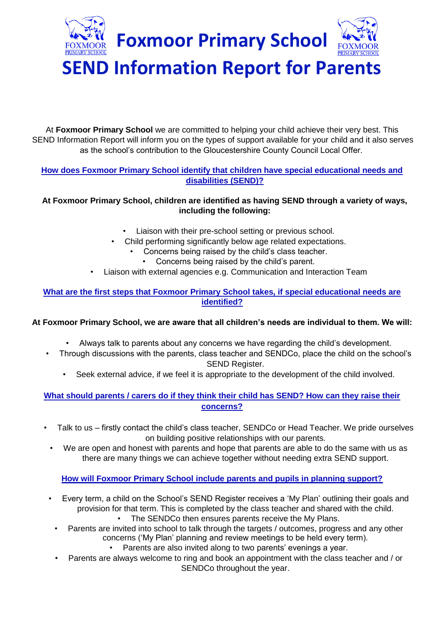

At **Foxmoor Primary School** we are committed to helping your child achieve their very best. This SEND Information Report will inform you on the types of support available for your child and it also serves as the school's contribution to the Gloucestershire County Council Local Offer.

## **How does Foxmoor Primary School identify that children have special educational needs and disabilities (SEND)?**

## **At Foxmoor Primary School, children are identified as having SEND through a variety of ways, including the following:**

- Liaison with their pre-school setting or previous school.
- Child performing significantly below age related expectations.
	- Concerns being raised by the child's class teacher.
		- Concerns being raised by the child's parent.
- Liaison with external agencies e.g. Communication and Interaction Team

## **What are the first steps that Foxmoor Primary School takes, if special educational needs are identified?**

## **At Foxmoor Primary School, we are aware that all children's needs are individual to them. We will:**

- Always talk to parents about any concerns we have regarding the child's development.
- Through discussions with the parents, class teacher and SENDCo, place the child on the school's SEND Register.
	- Seek external advice, if we feel it is appropriate to the development of the child involved.

## **What should parents / carers do if they think their child has SEND? How can they raise their concerns?**

- Talk to us firstly contact the child's class teacher, SENDCo or Head Teacher. We pride ourselves on building positive relationships with our parents.
- We are open and honest with parents and hope that parents are able to do the same with us as there are many things we can achieve together without needing extra SEND support.

**How will Foxmoor Primary School include parents and pupils in planning support?**

- Every term, a child on the School's SEND Register receives a 'My Plan' outlining their goals and provision for that term. This is completed by the class teacher and shared with the child.
	- The SENDCo then ensures parents receive the My Plans.
	- Parents are invited into school to talk through the targets / outcomes, progress and any other concerns ('My Plan' planning and review meetings to be held every term).
		- Parents are also invited along to two parents' evenings a year.
	- Parents are always welcome to ring and book an appointment with the class teacher and / or SENDCo throughout the year.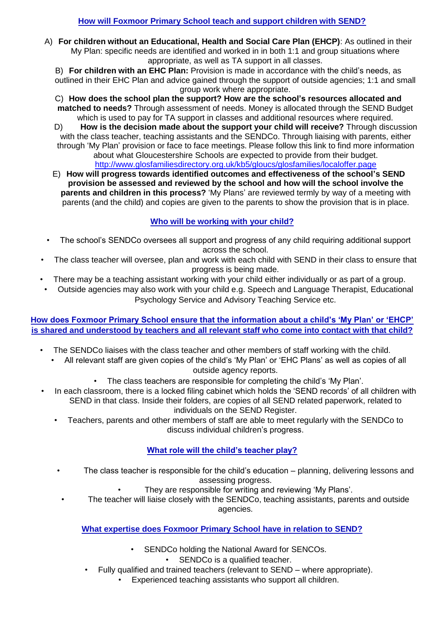A) **For children without an Educational, Health and Social Care Plan (EHCP)**: As outlined in their My Plan: specific needs are identified and worked in in both 1:1 and group situations where appropriate, as well as TA support in all classes.

B) **For children with an EHC Plan:** Provision is made in accordance with the child's needs, as outlined in their EHC Plan and advice gained through the support of outside agencies; 1:1 and small group work where appropriate.

C) **How does the school plan the support? How are the school's resources allocated and matched to needs?** Through assessment of needs. Money is allocated through the SEND Budget which is used to pay for TA support in classes and additional resources where required.

D) **How is the decision made about the support your child will receive?** Through discussion with the class teacher, teaching assistants and the SENDCo. Through liaising with parents, either through 'My Plan' provision or face to face meetings. Please follow this link to find more information about what Gloucestershire Schools are expected to provide from their budget. <http://www.glosfamiliesdirectory.org.uk/kb5/gloucs/glosfamilies/localoffer.page>

E) **How will progress towards identified outcomes and effectiveness of the school's SEND provision be assessed and reviewed by the school and how will the school involve the parents and children in this process?** 'My Plans' are reviewed termly by way of a meeting with parents (and the child) and copies are given to the parents to show the provision that is in place.

## **Who will be working with your child?**

- The school's SENDCo oversees all support and progress of any child requiring additional support across the school.
- The class teacher will oversee, plan and work with each child with SEND in their class to ensure that progress is being made.
- There may be a teaching assistant working with your child either individually or as part of a group.
- Outside agencies may also work with your child e.g. Speech and Language Therapist, Educational Psychology Service and Advisory Teaching Service etc.

**How does Foxmoor Primary School ensure that the information about a child's 'My Plan' or 'EHCP' is shared and understood by teachers and all relevant staff who come into contact with that child?**

- The SENDCo liaises with the class teacher and other members of staff working with the child.
	- All relevant staff are given copies of the child's 'My Plan' or 'EHC Plans' as well as copies of all outside agency reports.
		- The class teachers are responsible for completing the child's 'My Plan'.
- In each classroom, there is a locked filing cabinet which holds the 'SEND records' of all children with SEND in that class. Inside their folders, are copies of all SEND related paperwork, related to individuals on the SEND Register.
	- Teachers, parents and other members of staff are able to meet regularly with the SENDCo to discuss individual children's progress.

## **What role will the child's teacher play?**

- The class teacher is responsible for the child's education planning, delivering lessons and assessing progress.
	- They are responsible for writing and reviewing 'My Plans'.
	- The teacher will liaise closely with the SENDCo, teaching assistants, parents and outside agencies.

**What expertise does Foxmoor Primary School have in relation to SEND?**

- SENDCo holding the National Award for SENCOs.
	- SENDCo is a qualified teacher.
- Fully qualified and trained teachers (relevant to SEND where appropriate).
	- Experienced teaching assistants who support all children.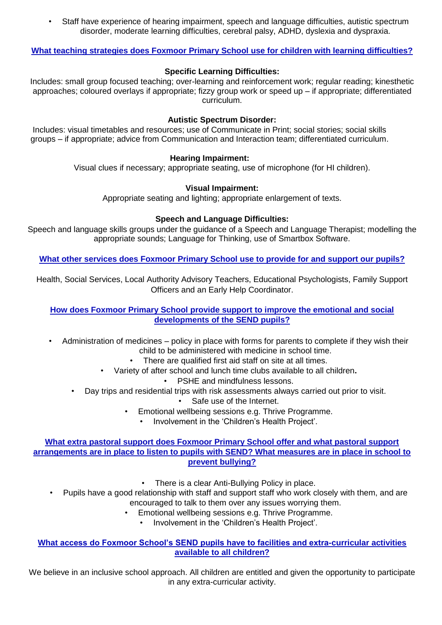• Staff have experience of hearing impairment, speech and language difficulties, autistic spectrum disorder, moderate learning difficulties, cerebral palsy, ADHD, dyslexia and dyspraxia.

#### **What teaching strategies does Foxmoor Primary School use for children with learning difficulties?**

#### **Specific Learning Difficulties:**

Includes: small group focused teaching; over-learning and reinforcement work; regular reading; kinesthetic approaches; coloured overlays if appropriate; fizzy group work or speed up – if appropriate; differentiated curriculum.

#### **Autistic Spectrum Disorder:**

Includes: visual timetables and resources; use of Communicate in Print; social stories; social skills groups – if appropriate; advice from Communication and Interaction team; differentiated curriculum.

#### **Hearing Impairment:**

Visual clues if necessary; appropriate seating, use of microphone (for HI children).

#### **Visual Impairment:**

Appropriate seating and lighting; appropriate enlargement of texts.

#### **Speech and Language Difficulties:**

Speech and language skills groups under the guidance of a Speech and Language Therapist; modelling the appropriate sounds; Language for Thinking, use of Smartbox Software.

**What other services does Foxmoor Primary School use to provide for and support our pupils?**

Health, Social Services, Local Authority Advisory Teachers, Educational Psychologists, Family Support Officers and an Early Help Coordinator.

#### **How does Foxmoor Primary School provide support to improve the emotional and social developments of the SEND pupils?**

- Administration of medicines policy in place with forms for parents to complete if they wish their child to be administered with medicine in school time.
	- There are qualified first aid staff on site at all times.
	- Variety of after school and lunch time clubs available to all children**.**
		- PSHE and mindfulness lessons.
	- Day trips and residential trips with risk assessments always carried out prior to visit.
		- Safe use of the Internet.
		- Emotional wellbeing sessions e.g. Thrive Programme.
			- Involvement in the 'Children's Health Project'.

#### **What extra pastoral support does Foxmoor Primary School offer and what pastoral support arrangements are in place to listen to pupils with SEND? What measures are in place in school to prevent bullying?**

- There is a clear Anti-Bullying Policy in place.
- Pupils have a good relationship with staff and support staff who work closely with them, and are encouraged to talk to them over any issues worrying them.
	- Emotional wellbeing sessions e.g. Thrive Programme.
		- Involvement in the 'Children's Health Project'.

#### **What access do Foxmoor School's SEND pupils have to facilities and extra-curricular activities available to all children?**

We believe in an inclusive school approach. All children are entitled and given the opportunity to participate in any extra-curricular activity.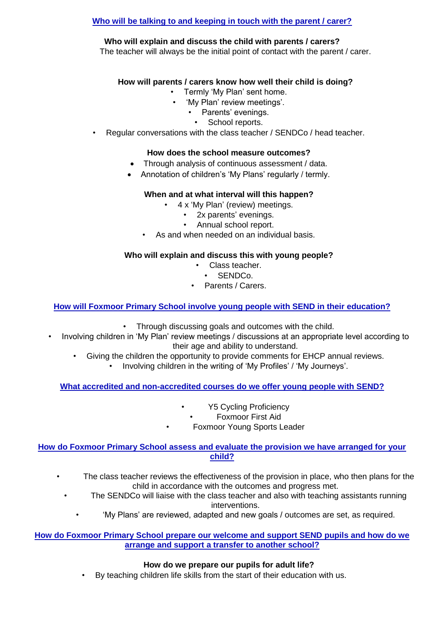## **Who will explain and discuss the child with parents / carers?**

The teacher will always be the initial point of contact with the parent / carer.

## **How will parents / carers know how well their child is doing?**

- Termly 'My Plan' sent home.
- 'My Plan' review meetings'.
	- Parents' evenings.
		- School reports.
- Regular conversations with the class teacher / SENDCo / head teacher.

## **How does the school measure outcomes?**

- Through analysis of continuous assessment / data.
- Annotation of children's 'My Plans' regularly / termly.

## **When and at what interval will this happen?**

- 4 x 'My Plan' (review) meetings.
	- 2x parents' evenings.
	- Annual school report.
- As and when needed on an individual basis.

## **Who will explain and discuss this with young people?**

- Class teacher.
	- SENDCo.
- Parents / Carers.

**How will Foxmoor Primary School involve young people with SEND in their education?** 

• Through discussing goals and outcomes with the child.

- Involving children in 'My Plan' review meetings / discussions at an appropriate level according to their age and ability to understand.
	- Giving the children the opportunity to provide comments for EHCP annual reviews.
		- Involving children in the writing of 'My Profiles' / 'My Journeys'.

**What accredited and non-accredited courses do we offer young people with SEND?**

- Y5 Cycling Proficiency
	- Foxmoor First Aid

• Foxmoor Young Sports Leader

#### **How do Foxmoor Primary School assess and evaluate the provision we have arranged for your child?**

- The class teacher reviews the effectiveness of the provision in place, who then plans for the child in accordance with the outcomes and progress met.
	- The SENDCo will liaise with the class teacher and also with teaching assistants running interventions.
		- 'My Plans' are reviewed, adapted and new goals / outcomes are set, as required.

**How do Foxmoor Primary School prepare our welcome and support SEND pupils and how do we arrange and support a transfer to another school?**

## **How do we prepare our pupils for adult life?**

• By teaching children life skills from the start of their education with us.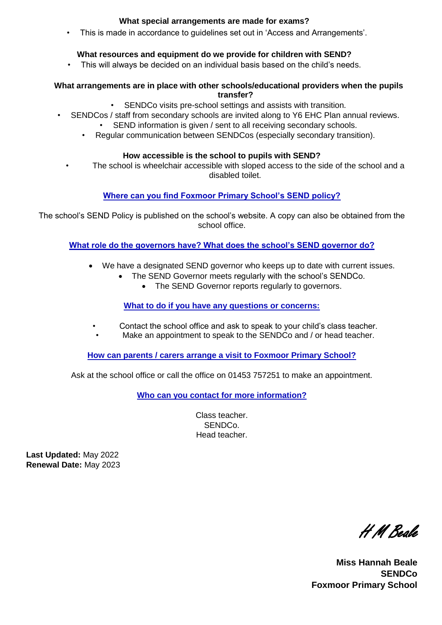### **What special arrangements are made for exams?**

• This is made in accordance to guidelines set out in 'Access and Arrangements'.

## **What resources and equipment do we provide for children with SEND?**

• This will always be decided on an individual basis based on the child's needs.

#### **What arrangements are in place with other schools/educational providers when the pupils transfer?**

- SENDCo visits pre-school settings and assists with transition.
- SENDCos / staff from secondary schools are invited along to Y6 EHC Plan annual reviews.
	- SEND information is given / sent to all receiving secondary schools.
	- Regular communication between SENDCos (especially secondary transition).

## **How accessible is the school to pupils with SEND?**

• The school is wheelchair accessible with sloped access to the side of the school and a disabled toilet.

## **Where can you find Foxmoor Primary School's SEND policy?**

The school's SEND Policy is published on the school's website. A copy can also be obtained from the school office.

**What role do the governors have? What does the school's SEND governor do?**

- We have a designated SEND governor who keeps up to date with current issues.
	- The SEND Governor meets regularly with the school's SENDCo.
		- The SEND Governor reports regularly to governors.

## **What to do if you have any questions or concerns:**

• Contact the school office and ask to speak to your child's class teacher. Make an appointment to speak to the SENDCo and / or head teacher.

**How can parents / carers arrange a visit to Foxmoor Primary School?**

Ask at the school office or call the office on 01453 757251 to make an appointment.

**Who can you contact for more information?**

Class teacher. SENDCo. Head teacher.

**Last Updated:** May 2022 **Renewal Date:** May 2023

H M Beale

**Miss Hannah Beale SENDCo Foxmoor Primary School**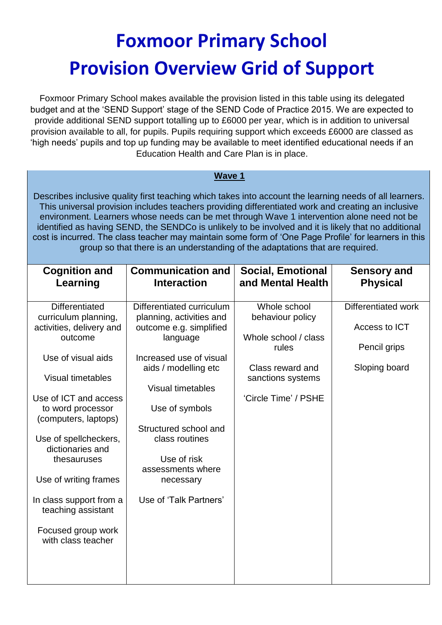# **Foxmoor Primary School Provision Overview Grid of Support**

Foxmoor Primary School makes available the provision listed in this table using its delegated budget and at the 'SEND Support' stage of the SEND Code of Practice 2015. We are expected to provide additional SEND support totalling up to £6000 per year, which is in addition to universal provision available to all, for pupils. Pupils requiring support which exceeds £6000 are classed as 'high needs' pupils and top up funding may be available to meet identified educational needs if an Education Health and Care Plan is in place.

## **Wave 1**

Describes inclusive quality first teaching which takes into account the learning needs of all learners. This universal provision includes teachers providing differentiated work and creating an inclusive environment. Learners whose needs can be met through Wave 1 intervention alone need not be identified as having SEND, the SENDCo is unlikely to be involved and it is likely that no additional cost is incurred. The class teacher may maintain some form of 'One Page Profile' for learners in this group so that there is an understanding of the adaptations that are required.

| <b>Cognition and</b><br>Learning                                                                                                                                                                                                                                                                                                                                                               | <b>Communication and</b><br><b>Interaction</b>                                                                                                                                                                                                                                                                      | <b>Social, Emotional</b><br>and Mental Health                                                                                      | <b>Sensory and</b><br><b>Physical</b>                                 |
|------------------------------------------------------------------------------------------------------------------------------------------------------------------------------------------------------------------------------------------------------------------------------------------------------------------------------------------------------------------------------------------------|---------------------------------------------------------------------------------------------------------------------------------------------------------------------------------------------------------------------------------------------------------------------------------------------------------------------|------------------------------------------------------------------------------------------------------------------------------------|-----------------------------------------------------------------------|
| <b>Differentiated</b><br>curriculum planning,<br>activities, delivery and<br>outcome<br>Use of visual aids<br><b>Visual timetables</b><br>Use of ICT and access<br>to word processor<br>(computers, laptops)<br>Use of spellcheckers,<br>dictionaries and<br>thesauruses<br>Use of writing frames<br>In class support from a<br>teaching assistant<br>Focused group work<br>with class teacher | Differentiated curriculum<br>planning, activities and<br>outcome e.g. simplified<br>language<br>Increased use of visual<br>aids / modelling etc<br><b>Visual timetables</b><br>Use of symbols<br>Structured school and<br>class routines<br>Use of risk<br>assessments where<br>necessary<br>Use of 'Talk Partners' | Whole school<br>behaviour policy<br>Whole school / class<br>rules<br>Class reward and<br>sanctions systems<br>'Circle Time' / PSHE | Differentiated work<br>Access to ICT<br>Pencil grips<br>Sloping board |
|                                                                                                                                                                                                                                                                                                                                                                                                |                                                                                                                                                                                                                                                                                                                     |                                                                                                                                    |                                                                       |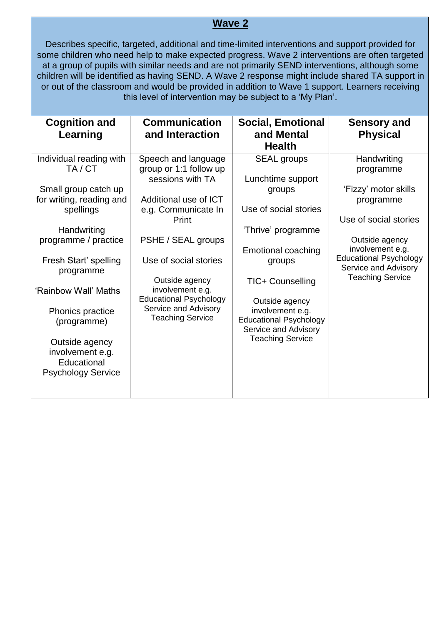## **Wave 2**

Describes specific, targeted, additional and time-limited interventions and support provided for some children who need help to make expected progress. Wave 2 interventions are often targeted at a group of pupils with similar needs and are not primarily SEND interventions, although some children will be identified as having SEND. A Wave 2 response might include shared TA support in or out of the classroom and would be provided in addition to Wave 1 support. Learners receiving this level of intervention may be subject to a 'My Plan'.

| <b>Cognition and</b><br>Learning                                                                                                                                                                                                                                                                                            | <b>Communication</b><br>and Interaction                                                                                                                                                                                                                                                             | <b>Social, Emotional</b><br>and Mental<br><b>Health</b>                                                                                                                                                                                                                        | <b>Sensory and</b><br><b>Physical</b>                                                                                                                                                                            |
|-----------------------------------------------------------------------------------------------------------------------------------------------------------------------------------------------------------------------------------------------------------------------------------------------------------------------------|-----------------------------------------------------------------------------------------------------------------------------------------------------------------------------------------------------------------------------------------------------------------------------------------------------|--------------------------------------------------------------------------------------------------------------------------------------------------------------------------------------------------------------------------------------------------------------------------------|------------------------------------------------------------------------------------------------------------------------------------------------------------------------------------------------------------------|
| Individual reading with<br>TA/CT<br>Small group catch up<br>for writing, reading and<br>spellings<br>Handwriting<br>programme / practice<br>Fresh Start' spelling<br>programme<br>'Rainbow Wall' Maths<br>Phonics practice<br>(programme)<br>Outside agency<br>involvement e.g.<br>Educational<br><b>Psychology Service</b> | Speech and language<br>group or 1:1 follow up<br>sessions with TA<br>Additional use of ICT<br>e.g. Communicate In<br>Print<br>PSHE / SEAL groups<br>Use of social stories<br>Outside agency<br>involvement e.g.<br><b>Educational Psychology</b><br>Service and Advisory<br><b>Teaching Service</b> | <b>SEAL groups</b><br>Lunchtime support<br>groups<br>Use of social stories<br>'Thrive' programme<br>Emotional coaching<br>groups<br>TIC+ Counselling<br>Outside agency<br>involvement e.g.<br><b>Educational Psychology</b><br>Service and Advisory<br><b>Teaching Service</b> | Handwriting<br>programme<br>'Fizzy' motor skills<br>programme<br>Use of social stories<br>Outside agency<br>involvement e.g.<br><b>Educational Psychology</b><br>Service and Advisory<br><b>Teaching Service</b> |
|                                                                                                                                                                                                                                                                                                                             |                                                                                                                                                                                                                                                                                                     |                                                                                                                                                                                                                                                                                |                                                                                                                                                                                                                  |